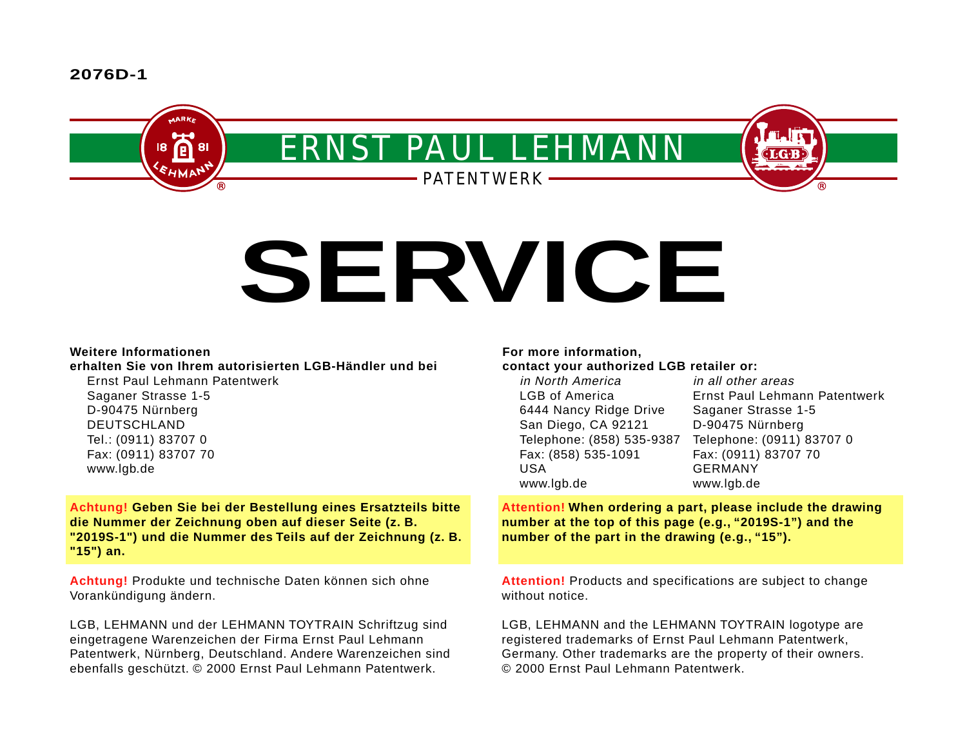# **2076D-1**



# **SERVICE**

# **Weitere Informationen**

# **erhalten Sie von Ihrem autorisierten LGB-Händler und bei**

Ernst Paul Lehmann Patentwerk Saganer Strasse 1-5 D-90475 Nürnberg DEUTSCHLAND Tel.: (0911) 83707 0 Fax: (0911) 83707 70 www.lgb.de

**Achtung! Geben Sie bei der Bestellung eines Ersatzteils bitte die Nummer der Zeichnung oben auf dieser Seite (z. B. "2019S-1") und die Nummer des Teils auf der Zeichnung (z. B. "15") an.**

**Achtung!** Produkte und technische Daten können sich ohne Vorankündigung ändern.

LGB, LEHMANN und der LEHMANN TOYTRAIN Schriftzug sind eingetragene Warenzeichen der Firma Ernst Paul Lehmann Patentwerk, Nürnberg, Deutschland. Andere Warenzeichen sind ebenfalls geschützt. © 2000 Ernst Paul Lehmann Patentwerk.

# **For more information,**

### **contact your authorized LGB retailer or:**

| in all other areas            |
|-------------------------------|
| Ernst Paul Lehmann Patentwerk |
| Saganer Strasse 1-5           |
| D-90475 Nürnberg              |
| Telephone: (0911) 83707 0     |
| Fax: (0911) 83707 70          |
| <b>GERMANY</b>                |
| www.lgb.de                    |
|                               |

**Attention! When ordering a part, please include the drawing number at the top of this page (e.g., "2019S-1") and the number of the part in the drawing (e.g., "15").**

**Attention!** Products and specifications are subject to change without notice.

LGB, LEHMANN and the LEHMANN TOYTRAIN logotype are registered trademarks of Ernst Paul Lehmann Patentwerk, Germany. Other trademarks are the property of their owners. © 2000 Ernst Paul Lehmann Patentwerk.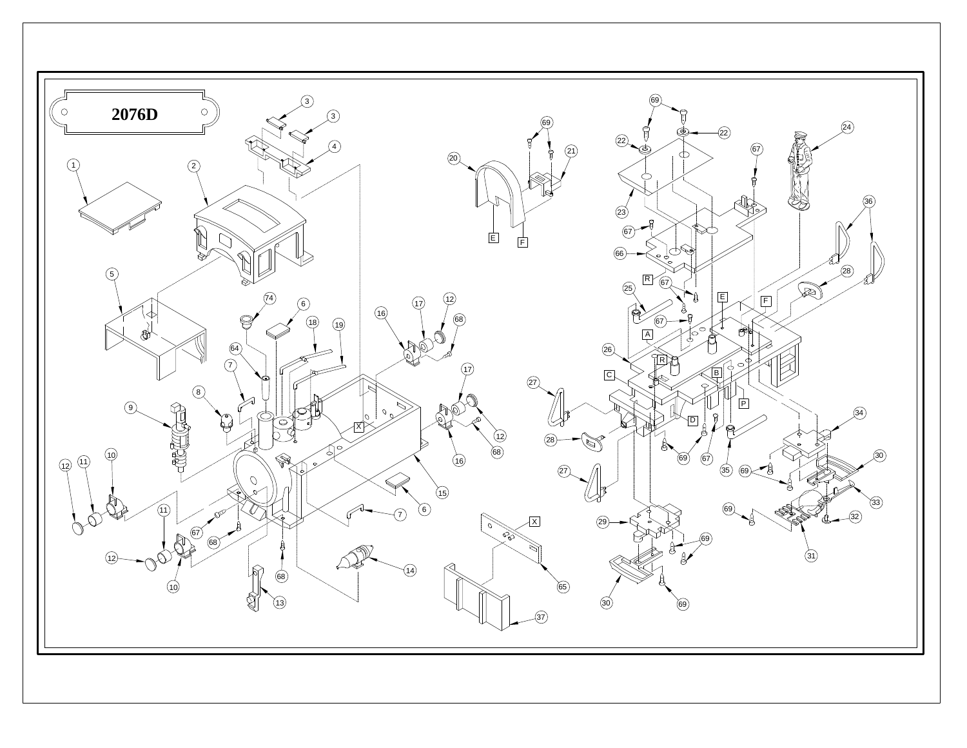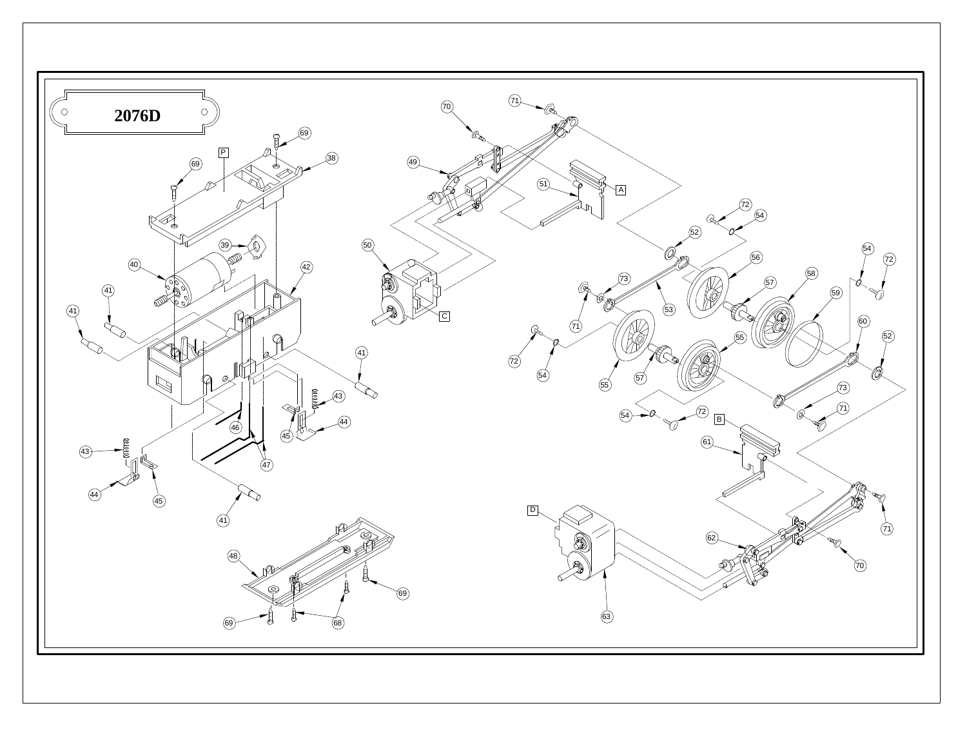